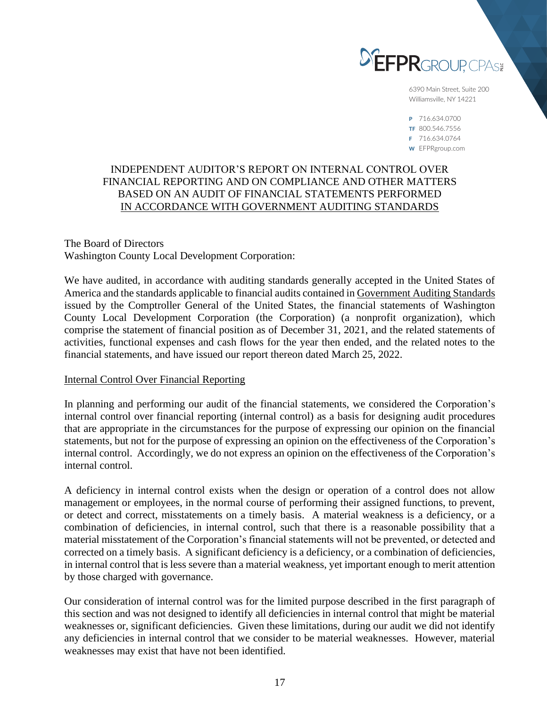

6390 Main Street, Suite 200 Williamsville, NY 14221

P 716.634.0700 TF 800.546.7556 F 716.634.0764 W EFPRgroup.com

# INDEPENDENT AUDITOR'S REPORT ON INTERNAL CONTROL OVER FINANCIAL REPORTING AND ON COMPLIANCE AND OTHER MATTERS BASED ON AN AUDIT OF FINANCIAL STATEMENTS PERFORMED IN ACCORDANCE WITH GOVERNMENT AUDITING STANDARDS

## The Board of Directors Washington County Local Development Corporation:

We have audited, in accordance with auditing standards generally accepted in the United States of America and the standards applicable to financial audits contained in Government Auditing Standards issued by the Comptroller General of the United States, the financial statements of Washington County Local Development Corporation (the Corporation) (a nonprofit organization), which comprise the statement of financial position as of December 31, 2021, and the related statements of activities, functional expenses and cash flows for the year then ended, and the related notes to the financial statements, and have issued our report thereon dated March 25, 2022.

## Internal Control Over Financial Reporting

In planning and performing our audit of the financial statements, we considered the Corporation's internal control over financial reporting (internal control) as a basis for designing audit procedures that are appropriate in the circumstances for the purpose of expressing our opinion on the financial statements, but not for the purpose of expressing an opinion on the effectiveness of the Corporation's internal control. Accordingly, we do not express an opinion on the effectiveness of the Corporation's internal control.

A deficiency in internal control exists when the design or operation of a control does not allow management or employees, in the normal course of performing their assigned functions, to prevent, or detect and correct, misstatements on a timely basis. A material weakness is a deficiency, or a combination of deficiencies, in internal control, such that there is a reasonable possibility that a material misstatement of the Corporation's financial statements will not be prevented, or detected and corrected on a timely basis. A significant deficiency is a deficiency, or a combination of deficiencies, in internal control that is less severe than a material weakness, yet important enough to merit attention by those charged with governance.

Our consideration of internal control was for the limited purpose described in the first paragraph of this section and was not designed to identify all deficiencies in internal control that might be material weaknesses or, significant deficiencies. Given these limitations, during our audit we did not identify any deficiencies in internal control that we consider to be material weaknesses. However, material weaknesses may exist that have not been identified.